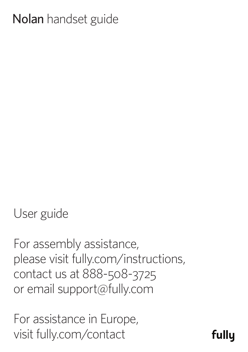# Nolan handset guide

User guide

For assembly assistance, please visit fully.com/instructions, contact us at 888-508-3725 or email support@fully.com

For assistance in Europe, visit fully.com/contact

fully